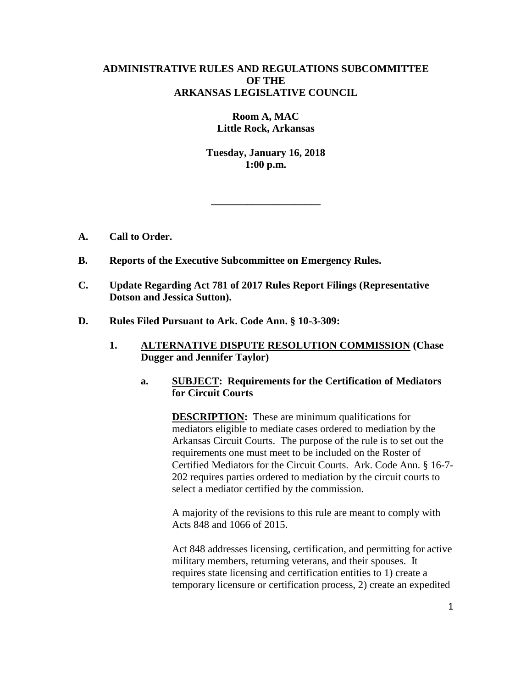# **ADMINISTRATIVE RULES AND REGULATIONS SUBCOMMITTEE OF THE ARKANSAS LEGISLATIVE COUNCIL**

**Room A, MAC Little Rock, Arkansas**

**Tuesday, January 16, 2018 1:00 p.m.**

**\_\_\_\_\_\_\_\_\_\_\_\_\_\_\_\_\_\_\_\_\_**

- **A. Call to Order.**
- **B. Reports of the Executive Subcommittee on Emergency Rules.**
- **C. Update Regarding Act 781 of 2017 Rules Report Filings (Representative Dotson and Jessica Sutton).**
- **D. Rules Filed Pursuant to Ark. Code Ann. § 10-3-309:**
	- **1. ALTERNATIVE DISPUTE RESOLUTION COMMISSION (Chase Dugger and Jennifer Taylor)**
		- **a. SUBJECT: Requirements for the Certification of Mediators for Circuit Courts**

**DESCRIPTION:** These are minimum qualifications for mediators eligible to mediate cases ordered to mediation by the Arkansas Circuit Courts. The purpose of the rule is to set out the requirements one must meet to be included on the Roster of Certified Mediators for the Circuit Courts. Ark. Code Ann. § 16-7- 202 requires parties ordered to mediation by the circuit courts to select a mediator certified by the commission.

A majority of the revisions to this rule are meant to comply with Acts 848 and 1066 of 2015.

Act 848 addresses licensing, certification, and permitting for active military members, returning veterans, and their spouses. It requires state licensing and certification entities to 1) create a temporary licensure or certification process, 2) create an expedited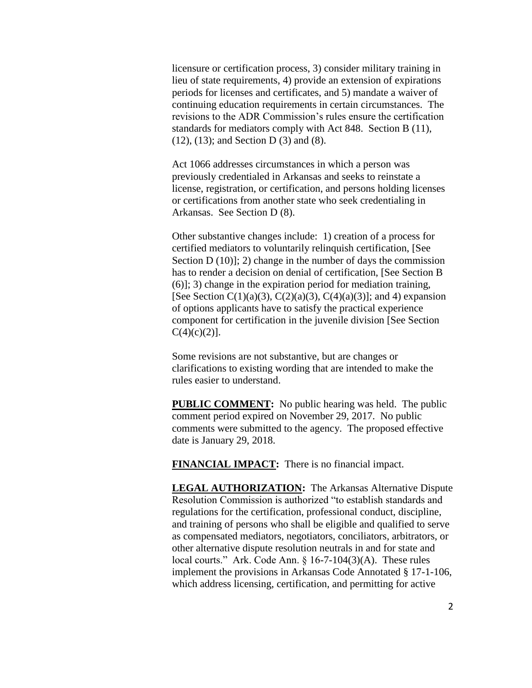licensure or certification process, 3) consider military training in lieu of state requirements, 4) provide an extension of expirations periods for licenses and certificates, and 5) mandate a waiver of continuing education requirements in certain circumstances. The revisions to the ADR Commission's rules ensure the certification standards for mediators comply with Act 848. Section B (11), (12), (13); and Section D (3) and (8).

Act 1066 addresses circumstances in which a person was previously credentialed in Arkansas and seeks to reinstate a license, registration, or certification, and persons holding licenses or certifications from another state who seek credentialing in Arkansas. See Section D (8).

Other substantive changes include: 1) creation of a process for certified mediators to voluntarily relinquish certification, [See Section  $D(10)$ ; 2) change in the number of days the commission has to render a decision on denial of certification, [See Section B (6)]; 3) change in the expiration period for mediation training, [See Section  $C(1)(a)(3)$ ,  $C(2)(a)(3)$ ,  $C(4)(a)(3)$ ]; and 4) expansion of options applicants have to satisfy the practical experience component for certification in the juvenile division [See Section  $C(4)(c)(2)$ ].

Some revisions are not substantive, but are changes or clarifications to existing wording that are intended to make the rules easier to understand.

**PUBLIC COMMENT:** No public hearing was held. The public comment period expired on November 29, 2017. No public comments were submitted to the agency. The proposed effective date is January 29, 2018.

**FINANCIAL IMPACT:** There is no financial impact.

**LEGAL AUTHORIZATION:** The Arkansas Alternative Dispute Resolution Commission is authorized "to establish standards and regulations for the certification, professional conduct, discipline, and training of persons who shall be eligible and qualified to serve as compensated mediators, negotiators, conciliators, arbitrators, or other alternative dispute resolution neutrals in and for state and local courts." Ark. Code Ann. § 16-7-104(3)(A). These rules implement the provisions in Arkansas Code Annotated § 17-1-106, which address licensing, certification, and permitting for active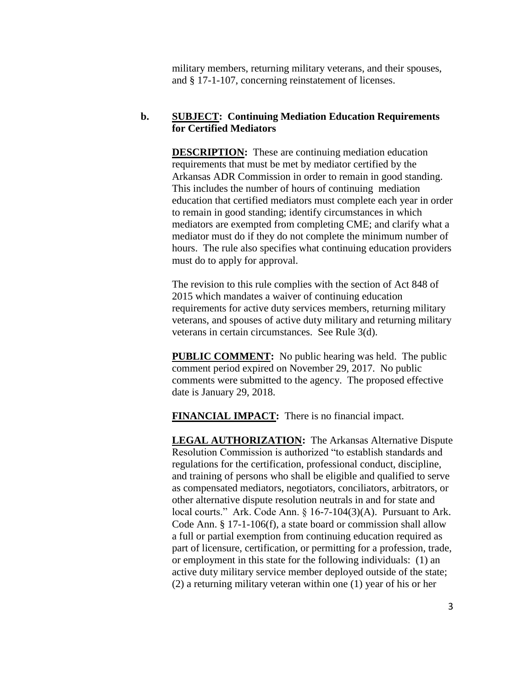military members, returning military veterans, and their spouses, and § 17-1-107, concerning reinstatement of licenses.

### **b. SUBJECT: Continuing Mediation Education Requirements for Certified Mediators**

**DESCRIPTION:** These are continuing mediation education requirements that must be met by mediator certified by the Arkansas ADR Commission in order to remain in good standing. This includes the number of hours of continuing mediation education that certified mediators must complete each year in order to remain in good standing; identify circumstances in which mediators are exempted from completing CME; and clarify what a mediator must do if they do not complete the minimum number of hours. The rule also specifies what continuing education providers must do to apply for approval.

The revision to this rule complies with the section of Act 848 of 2015 which mandates a waiver of continuing education requirements for active duty services members, returning military veterans, and spouses of active duty military and returning military veterans in certain circumstances. See Rule 3(d).

**PUBLIC COMMENT:** No public hearing was held. The public comment period expired on November 29, 2017. No public comments were submitted to the agency. The proposed effective date is January 29, 2018.

**FINANCIAL IMPACT:** There is no financial impact.

**LEGAL AUTHORIZATION:** The Arkansas Alternative Dispute Resolution Commission is authorized "to establish standards and regulations for the certification, professional conduct, discipline, and training of persons who shall be eligible and qualified to serve as compensated mediators, negotiators, conciliators, arbitrators, or other alternative dispute resolution neutrals in and for state and local courts." Ark. Code Ann. § 16-7-104(3)(A). Pursuant to Ark. Code Ann. § 17-1-106(f), a state board or commission shall allow a full or partial exemption from continuing education required as part of licensure, certification, or permitting for a profession, trade, or employment in this state for the following individuals: (1) an active duty military service member deployed outside of the state; (2) a returning military veteran within one (1) year of his or her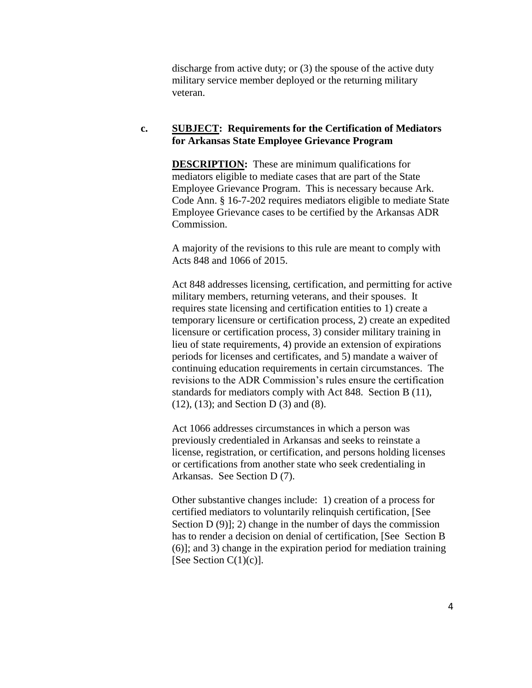discharge from active duty; or (3) the spouse of the active duty military service member deployed or the returning military veteran.

#### **c. SUBJECT: Requirements for the Certification of Mediators for Arkansas State Employee Grievance Program**

**DESCRIPTION:** These are minimum qualifications for mediators eligible to mediate cases that are part of the State Employee Grievance Program. This is necessary because Ark. Code Ann. § 16-7-202 requires mediators eligible to mediate State Employee Grievance cases to be certified by the Arkansas ADR Commission.

A majority of the revisions to this rule are meant to comply with Acts 848 and 1066 of 2015.

Act 848 addresses licensing, certification, and permitting for active military members, returning veterans, and their spouses. It requires state licensing and certification entities to 1) create a temporary licensure or certification process, 2) create an expedited licensure or certification process, 3) consider military training in lieu of state requirements, 4) provide an extension of expirations periods for licenses and certificates, and 5) mandate a waiver of continuing education requirements in certain circumstances. The revisions to the ADR Commission's rules ensure the certification standards for mediators comply with Act 848. Section B (11), (12), (13); and Section D (3) and (8).

Act 1066 addresses circumstances in which a person was previously credentialed in Arkansas and seeks to reinstate a license, registration, or certification, and persons holding licenses or certifications from another state who seek credentialing in Arkansas. See Section D (7).

Other substantive changes include: 1) creation of a process for certified mediators to voluntarily relinquish certification, [See Section  $D(9)$ ; 2) change in the number of days the commission has to render a decision on denial of certification, [See Section B (6)]; and 3) change in the expiration period for mediation training [See Section  $C(1)(c)$ ].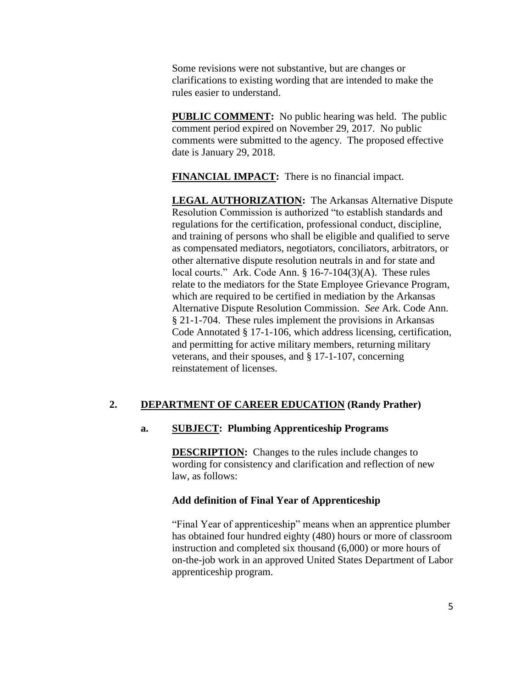Some revisions were not substantive, but are changes or clarifications to existing wording that are intended to make the rules easier to understand.

**PUBLIC COMMENT:** No public hearing was held. The public comment period expired on November 29, 2017. No public comments were submitted to the agency. The proposed effective date is January 29, 2018.

**FINANCIAL IMPACT:** There is no financial impact.

**LEGAL AUTHORIZATION:** The Arkansas Alternative Dispute Resolution Commission is authorized "to establish standards and regulations for the certification, professional conduct, discipline, and training of persons who shall be eligible and qualified to serve as compensated mediators, negotiators, conciliators, arbitrators, or other alternative dispute resolution neutrals in and for state and local courts." Ark. Code Ann. § 16-7-104(3)(A). These rules relate to the mediators for the State Employee Grievance Program, which are required to be certified in mediation by the Arkansas Alternative Dispute Resolution Commission. *See* Ark. Code Ann. § 21-1-704. These rules implement the provisions in Arkansas Code Annotated § 17-1-106, which address licensing, certification, and permitting for active military members, returning military veterans, and their spouses, and § 17-1-107, concerning reinstatement of licenses.

# **2. DEPARTMENT OF CAREER EDUCATION (Randy Prather)**

# **a. SUBJECT: Plumbing Apprenticeship Programs**

**DESCRIPTION:** Changes to the rules include changes to wording for consistency and clarification and reflection of new law, as follows:

### **Add definition of Final Year of Apprenticeship**

"Final Year of apprenticeship" means when an apprentice plumber has obtained four hundred eighty (480) hours or more of classroom instruction and completed six thousand (6,000) or more hours of on-the-job work in an approved United States Department of Labor apprenticeship program.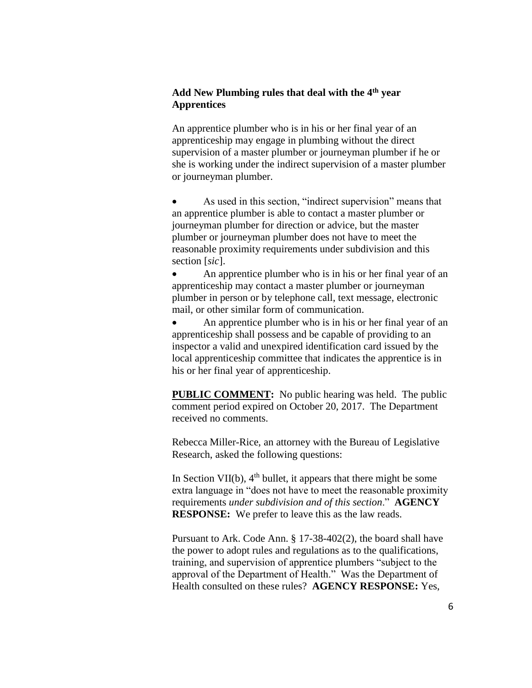# **Add New Plumbing rules that deal with the 4th year Apprentices**

An apprentice plumber who is in his or her final year of an apprenticeship may engage in plumbing without the direct supervision of a master plumber or journeyman plumber if he or she is working under the indirect supervision of a master plumber or journeyman plumber.

 As used in this section, "indirect supervision" means that an apprentice plumber is able to contact a master plumber or journeyman plumber for direction or advice, but the master plumber or journeyman plumber does not have to meet the reasonable proximity requirements under subdivision and this section [*sic*].

 An apprentice plumber who is in his or her final year of an apprenticeship may contact a master plumber or journeyman plumber in person or by telephone call, text message, electronic mail, or other similar form of communication.

 An apprentice plumber who is in his or her final year of an apprenticeship shall possess and be capable of providing to an inspector a valid and unexpired identification card issued by the local apprenticeship committee that indicates the apprentice is in his or her final year of apprenticeship.

**PUBLIC COMMENT:** No public hearing was held. The public comment period expired on October 20, 2017. The Department received no comments.

Rebecca Miller-Rice, an attorney with the Bureau of Legislative Research, asked the following questions:

In Section VII(b),  $4<sup>th</sup>$  bullet, it appears that there might be some extra language in "does not have to meet the reasonable proximity requirements *under subdivision and of this section*." **AGENCY RESPONSE:** We prefer to leave this as the law reads.

Pursuant to Ark. Code Ann. § 17-38-402(2), the board shall have the power to adopt rules and regulations as to the qualifications, training, and supervision of apprentice plumbers "subject to the approval of the Department of Health." Was the Department of Health consulted on these rules? **AGENCY RESPONSE:** Yes,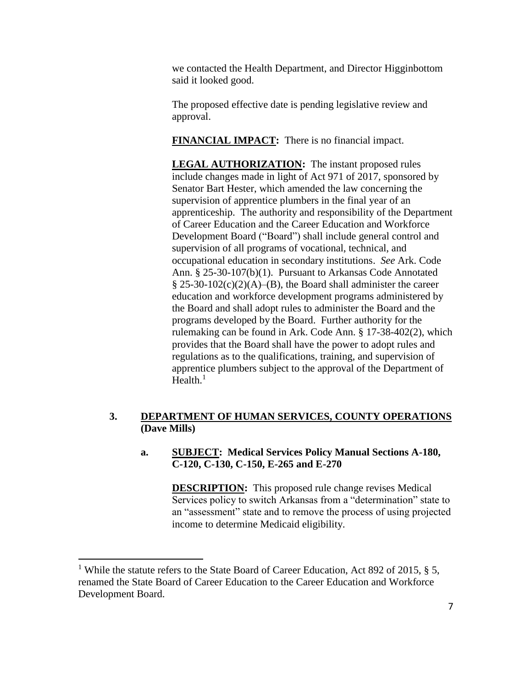we contacted the Health Department, and Director Higginbottom said it looked good.

The proposed effective date is pending legislative review and approval.

**FINANCIAL IMPACT:** There is no financial impact.

**LEGAL AUTHORIZATION:** The instant proposed rules include changes made in light of Act 971 of 2017, sponsored by Senator Bart Hester, which amended the law concerning the supervision of apprentice plumbers in the final year of an apprenticeship. The authority and responsibility of the Department of Career Education and the Career Education and Workforce Development Board ("Board") shall include general control and supervision of all programs of vocational, technical, and occupational education in secondary institutions. *See* Ark. Code Ann. § 25-30-107(b)(1). Pursuant to Arkansas Code Annotated  $\S 25-30-102(c)(2)(A)$ –(B), the Board shall administer the career education and workforce development programs administered by the Board and shall adopt rules to administer the Board and the programs developed by the Board. Further authority for the rulemaking can be found in Ark. Code Ann. § 17-38-402(2), which provides that the Board shall have the power to adopt rules and regulations as to the qualifications, training, and supervision of apprentice plumbers subject to the approval of the Department of Health. $<sup>1</sup>$ </sup>

# **3. DEPARTMENT OF HUMAN SERVICES, COUNTY OPERATIONS (Dave Mills)**

# **a. SUBJECT: Medical Services Policy Manual Sections A-180, C-120, C-130, C-150, E-265 and E-270**

**DESCRIPTION:** This proposed rule change revises Medical Services policy to switch Arkansas from a "determination" state to an "assessment" state and to remove the process of using projected income to determine Medicaid eligibility.

 $\overline{a}$ 

<sup>&</sup>lt;sup>1</sup> While the statute refers to the State Board of Career Education, Act 892 of 2015, § 5, renamed the State Board of Career Education to the Career Education and Workforce Development Board.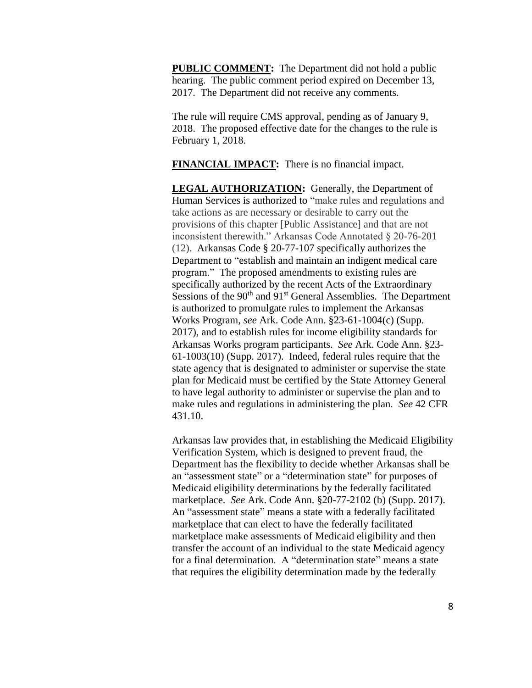**PUBLIC COMMENT:** The Department did not hold a public hearing. The public comment period expired on December 13, 2017. The Department did not receive any comments.

The rule will require CMS approval, pending as of January 9, 2018. The proposed effective date for the changes to the rule is February 1, 2018.

**FINANCIAL IMPACT:** There is no financial impact.

**LEGAL AUTHORIZATION:** Generally, the Department of Human Services is authorized to "make rules and regulations and take actions as are necessary or desirable to carry out the provisions of this chapter [Public Assistance] and that are not inconsistent therewith." Arkansas Code Annotated § 20-76-201 (12). Arkansas Code § 20-77-107 specifically authorizes the Department to "establish and maintain an indigent medical care program." The proposed amendments to existing rules are specifically authorized by the recent Acts of the Extraordinary Sessions of the 90<sup>th</sup> and 91<sup>st</sup> General Assemblies. The Department is authorized to promulgate rules to implement the Arkansas Works Program, *see* Ark. Code Ann. §23-61-1004(c) (Supp. 2017), and to establish rules for income eligibility standards for Arkansas Works program participants. *See* Ark. Code Ann. §23- 61-1003(10) (Supp. 2017). Indeed, federal rules require that the state agency that is designated to administer or supervise the state plan for Medicaid must be certified by the State Attorney General to have legal authority to administer or supervise the plan and to make rules and regulations in administering the plan. *See* 42 CFR 431.10.

Arkansas law provides that, in establishing the Medicaid Eligibility Verification System, which is designed to prevent fraud, the Department has the flexibility to decide whether Arkansas shall be an "assessment state" or a "determination state" for purposes of Medicaid eligibility determinations by the federally facilitated marketplace. *See* Ark. Code Ann. §20-77-2102 (b) (Supp. 2017). An "assessment state" means a state with a federally facilitated marketplace that can elect to have the federally facilitated marketplace make assessments of Medicaid eligibility and then transfer the account of an individual to the state Medicaid agency for a final determination. A "determination state" means a state that requires the eligibility determination made by the federally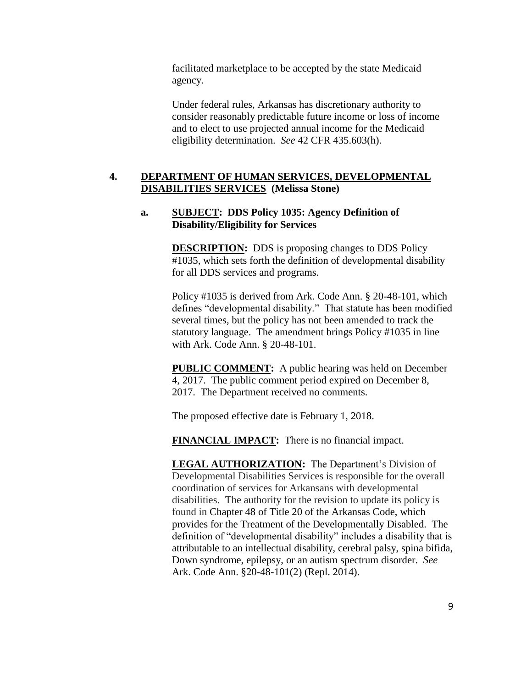facilitated marketplace to be accepted by the state Medicaid agency.

Under federal rules, Arkansas has discretionary authority to consider reasonably predictable future income or loss of income and to elect to use projected annual income for the Medicaid eligibility determination. *See* 42 CFR 435.603(h).

## **4. DEPARTMENT OF HUMAN SERVICES, DEVELOPMENTAL DISABILITIES SERVICES (Melissa Stone)**

#### **a. SUBJECT: DDS Policy 1035: Agency Definition of Disability/Eligibility for Services**

**DESCRIPTION:** DDS is proposing changes to DDS Policy #1035, which sets forth the definition of developmental disability for all DDS services and programs.

Policy #1035 is derived from Ark. Code Ann. § 20-48-101, which defines "developmental disability." That statute has been modified several times, but the policy has not been amended to track the statutory language. The amendment brings Policy #1035 in line with Ark. Code Ann. § 20-48-101.

**PUBLIC COMMENT:** A public hearing was held on December 4, 2017. The public comment period expired on December 8, 2017. The Department received no comments.

The proposed effective date is February 1, 2018.

**FINANCIAL IMPACT:** There is no financial impact.

**LEGAL AUTHORIZATION:** The Department's Division of Developmental Disabilities Services is responsible for the overall coordination of services for Arkansans with developmental disabilities. The authority for the revision to update its policy is found in Chapter 48 of Title 20 of the Arkansas Code, which provides for the Treatment of the Developmentally Disabled. The definition of "developmental disability" includes a disability that is attributable to an intellectual disability, cerebral palsy, spina bifida, Down syndrome, epilepsy, or an autism spectrum disorder. *See* Ark. Code Ann. §20-48-101(2) (Repl. 2014).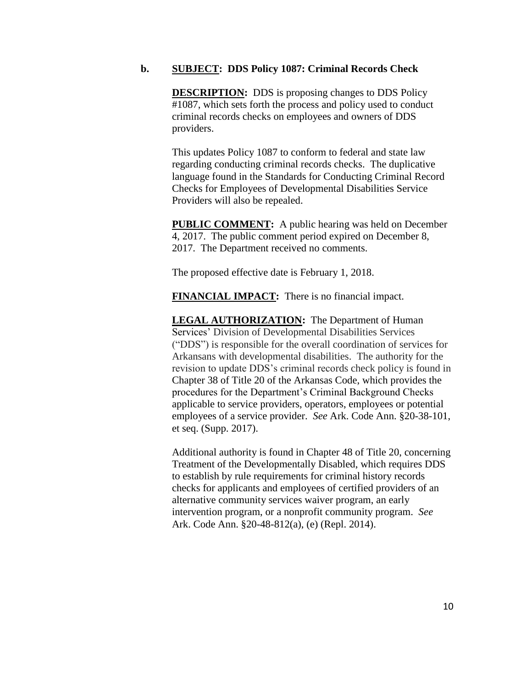#### **b. SUBJECT: DDS Policy 1087: Criminal Records Check**

**DESCRIPTION:** DDS is proposing changes to DDS Policy #1087, which sets forth the process and policy used to conduct criminal records checks on employees and owners of DDS providers.

This updates Policy 1087 to conform to federal and state law regarding conducting criminal records checks. The duplicative language found in the Standards for Conducting Criminal Record Checks for Employees of Developmental Disabilities Service Providers will also be repealed.

**PUBLIC COMMENT:** A public hearing was held on December 4, 2017. The public comment period expired on December 8, 2017. The Department received no comments.

The proposed effective date is February 1, 2018.

**FINANCIAL IMPACT:** There is no financial impact.

**LEGAL AUTHORIZATION:** The Department of Human Services' Division of Developmental Disabilities Services ("DDS") is responsible for the overall coordination of services for Arkansans with developmental disabilities. The authority for the revision to update DDS's criminal records check policy is found in Chapter 38 of Title 20 of the Arkansas Code, which provides the procedures for the Department's Criminal Background Checks applicable to service providers, operators, employees or potential employees of a service provider. *See* Ark. Code Ann. §20-38-101, et seq. (Supp. 2017).

Additional authority is found in Chapter 48 of Title 20, concerning Treatment of the Developmentally Disabled, which requires DDS to establish by rule requirements for criminal history records checks for applicants and employees of certified providers of an alternative community services waiver program, an early intervention program, or a nonprofit community program. *See* Ark. Code Ann. §20-48-812(a), (e) (Repl. 2014).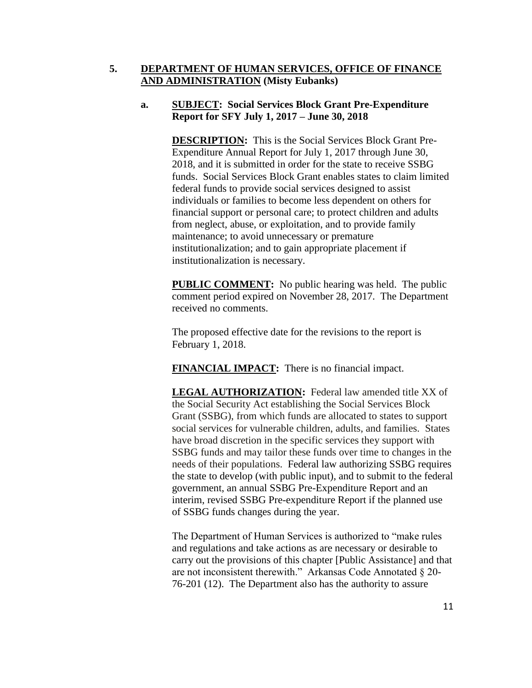## **5. DEPARTMENT OF HUMAN SERVICES, OFFICE OF FINANCE AND ADMINISTRATION (Misty Eubanks)**

# **a. SUBJECT: Social Services Block Grant Pre-Expenditure Report for SFY July 1, 2017 – June 30, 2018**

**DESCRIPTION:** This is the Social Services Block Grant Pre-Expenditure Annual Report for July 1, 2017 through June 30, 2018, and it is submitted in order for the state to receive SSBG funds. Social Services Block Grant enables states to claim limited federal funds to provide social services designed to assist individuals or families to become less dependent on others for financial support or personal care; to protect children and adults from neglect, abuse, or exploitation, and to provide family maintenance; to avoid unnecessary or premature institutionalization; and to gain appropriate placement if institutionalization is necessary.

**PUBLIC COMMENT:** No public hearing was held. The public comment period expired on November 28, 2017. The Department received no comments.

The proposed effective date for the revisions to the report is February 1, 2018.

**FINANCIAL IMPACT:** There is no financial impact.

**LEGAL AUTHORIZATION:** Federal law amended title XX of the Social Security Act establishing the Social Services Block Grant (SSBG), from which funds are allocated to states to support social services for vulnerable children, adults, and families. States have broad discretion in the specific services they support with SSBG funds and may tailor these funds over time to changes in the needs of their populations. Federal law authorizing SSBG requires the state to develop (with public input), and to submit to the federal government, an annual SSBG Pre-Expenditure Report and an interim, revised SSBG Pre-expenditure Report if the planned use of SSBG funds changes during the year.

The Department of Human Services is authorized to "make rules and regulations and take actions as are necessary or desirable to carry out the provisions of this chapter [Public Assistance] and that are not inconsistent therewith." Arkansas Code Annotated § 20- 76-201 (12). The Department also has the authority to assure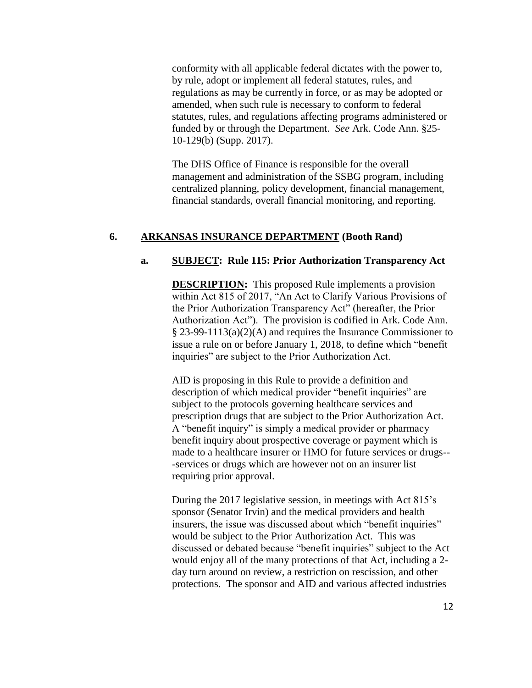conformity with all applicable federal dictates with the power to, by rule, adopt or implement all federal statutes, rules, and regulations as may be currently in force, or as may be adopted or amended, when such rule is necessary to conform to federal statutes, rules, and regulations affecting programs administered or funded by or through the Department. *See* Ark. Code Ann. §25- 10-129(b) (Supp. 2017).

The DHS Office of Finance is responsible for the overall management and administration of the SSBG program, including centralized planning, policy development, financial management, financial standards, overall financial monitoring, and reporting.

#### **6. ARKANSAS INSURANCE DEPARTMENT (Booth Rand)**

#### **a. SUBJECT: Rule 115: Prior Authorization Transparency Act**

**DESCRIPTION:** This proposed Rule implements a provision within Act 815 of 2017, "An Act to Clarify Various Provisions of the Prior Authorization Transparency Act" (hereafter, the Prior Authorization Act"). The provision is codified in Ark. Code Ann. § 23-99-1113(a)(2)(A) and requires the Insurance Commissioner to issue a rule on or before January 1, 2018, to define which "benefit inquiries" are subject to the Prior Authorization Act.

AID is proposing in this Rule to provide a definition and description of which medical provider "benefit inquiries" are subject to the protocols governing healthcare services and prescription drugs that are subject to the Prior Authorization Act. A "benefit inquiry" is simply a medical provider or pharmacy benefit inquiry about prospective coverage or payment which is made to a healthcare insurer or HMO for future services or drugs-- -services or drugs which are however not on an insurer list requiring prior approval.

During the 2017 legislative session, in meetings with Act 815's sponsor (Senator Irvin) and the medical providers and health insurers, the issue was discussed about which "benefit inquiries" would be subject to the Prior Authorization Act. This was discussed or debated because "benefit inquiries" subject to the Act would enjoy all of the many protections of that Act, including a 2 day turn around on review, a restriction on rescission, and other protections. The sponsor and AID and various affected industries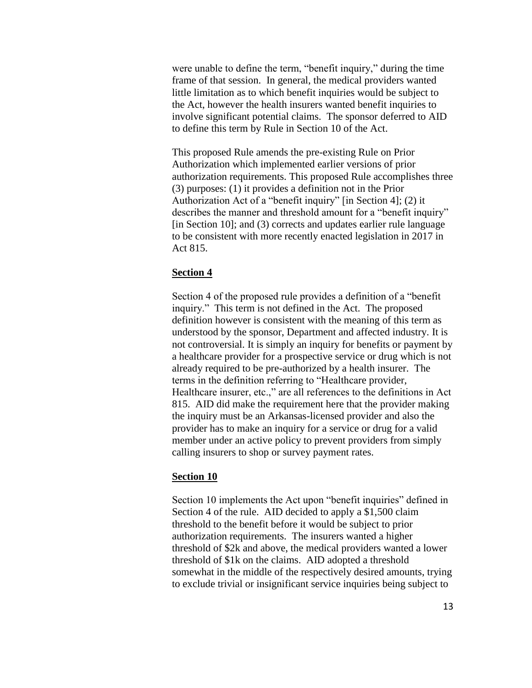were unable to define the term, "benefit inquiry," during the time frame of that session. In general, the medical providers wanted little limitation as to which benefit inquiries would be subject to the Act, however the health insurers wanted benefit inquiries to involve significant potential claims. The sponsor deferred to AID to define this term by Rule in Section 10 of the Act.

This proposed Rule amends the pre-existing Rule on Prior Authorization which implemented earlier versions of prior authorization requirements. This proposed Rule accomplishes three (3) purposes: (1) it provides a definition not in the Prior Authorization Act of a "benefit inquiry" [in Section 4]; (2) it describes the manner and threshold amount for a "benefit inquiry" [in Section 10]; and (3) corrects and updates earlier rule language to be consistent with more recently enacted legislation in 2017 in Act 815.

#### **Section 4**

Section 4 of the proposed rule provides a definition of a "benefit inquiry." This term is not defined in the Act. The proposed definition however is consistent with the meaning of this term as understood by the sponsor, Department and affected industry. It is not controversial. It is simply an inquiry for benefits or payment by a healthcare provider for a prospective service or drug which is not already required to be pre-authorized by a health insurer. The terms in the definition referring to "Healthcare provider, Healthcare insurer, etc.," are all references to the definitions in Act 815. AID did make the requirement here that the provider making the inquiry must be an Arkansas-licensed provider and also the provider has to make an inquiry for a service or drug for a valid member under an active policy to prevent providers from simply calling insurers to shop or survey payment rates.

### **Section 10**

Section 10 implements the Act upon "benefit inquiries" defined in Section 4 of the rule. AID decided to apply a \$1,500 claim threshold to the benefit before it would be subject to prior authorization requirements. The insurers wanted a higher threshold of \$2k and above, the medical providers wanted a lower threshold of \$1k on the claims. AID adopted a threshold somewhat in the middle of the respectively desired amounts, trying to exclude trivial or insignificant service inquiries being subject to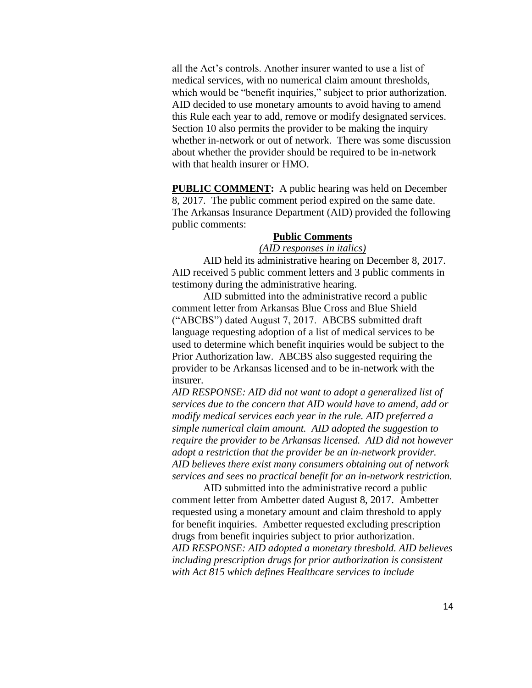all the Act's controls. Another insurer wanted to use a list of medical services, with no numerical claim amount thresholds, which would be "benefit inquiries," subject to prior authorization. AID decided to use monetary amounts to avoid having to amend this Rule each year to add, remove or modify designated services. Section 10 also permits the provider to be making the inquiry whether in-network or out of network. There was some discussion about whether the provider should be required to be in-network with that health insurer or HMO.

**PUBLIC COMMENT:** A public hearing was held on December 8, 2017. The public comment period expired on the same date. The Arkansas Insurance Department (AID) provided the following public comments:

# **Public Comments**

## *(AID responses in italics)*

AID held its administrative hearing on December 8, 2017. AID received 5 public comment letters and 3 public comments in testimony during the administrative hearing.

AID submitted into the administrative record a public comment letter from Arkansas Blue Cross and Blue Shield ("ABCBS") dated August 7, 2017. ABCBS submitted draft language requesting adoption of a list of medical services to be used to determine which benefit inquiries would be subject to the Prior Authorization law. ABCBS also suggested requiring the provider to be Arkansas licensed and to be in-network with the insurer.

*AID RESPONSE: AID did not want to adopt a generalized list of services due to the concern that AID would have to amend, add or modify medical services each year in the rule. AID preferred a simple numerical claim amount. AID adopted the suggestion to require the provider to be Arkansas licensed. AID did not however adopt a restriction that the provider be an in-network provider. AID believes there exist many consumers obtaining out of network services and sees no practical benefit for an in-network restriction.* 

AID submitted into the administrative record a public comment letter from Ambetter dated August 8, 2017. Ambetter requested using a monetary amount and claim threshold to apply for benefit inquiries. Ambetter requested excluding prescription drugs from benefit inquiries subject to prior authorization. *AID RESPONSE: AID adopted a monetary threshold. AID believes including prescription drugs for prior authorization is consistent with Act 815 which defines Healthcare services to include*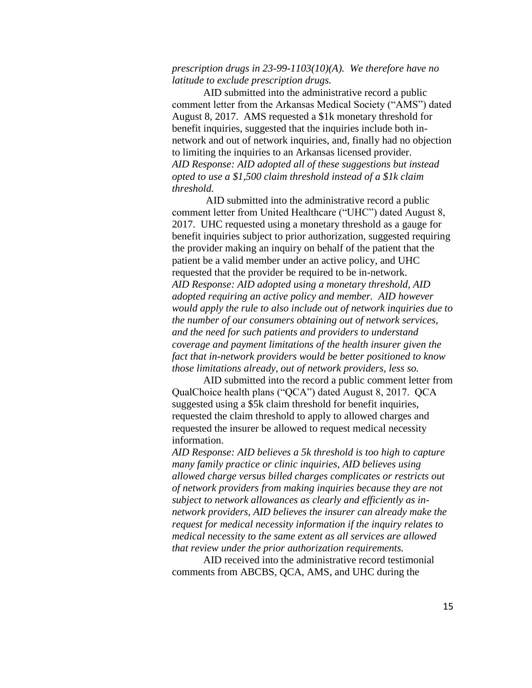## *prescription drugs in 23-99-1103(10)(A). We therefore have no latitude to exclude prescription drugs.*

AID submitted into the administrative record a public comment letter from the Arkansas Medical Society ("AMS") dated August 8, 2017. AMS requested a \$1k monetary threshold for benefit inquiries, suggested that the inquiries include both innetwork and out of network inquiries, and, finally had no objection to limiting the inquiries to an Arkansas licensed provider. *AID Response: AID adopted all of these suggestions but instead opted to use a \$1,500 claim threshold instead of a \$1k claim threshold.* 

AID submitted into the administrative record a public comment letter from United Healthcare ("UHC") dated August 8, 2017. UHC requested using a monetary threshold as a gauge for benefit inquiries subject to prior authorization, suggested requiring the provider making an inquiry on behalf of the patient that the patient be a valid member under an active policy, and UHC requested that the provider be required to be in-network. *AID Response: AID adopted using a monetary threshold, AID adopted requiring an active policy and member. AID however would apply the rule to also include out of network inquiries due to the number of our consumers obtaining out of network services, and the need for such patients and providers to understand coverage and payment limitations of the health insurer given the fact that in-network providers would be better positioned to know those limitations already, out of network providers, less so.* 

AID submitted into the record a public comment letter from QualChoice health plans ("QCA") dated August 8, 2017. QCA suggested using a \$5k claim threshold for benefit inquiries, requested the claim threshold to apply to allowed charges and requested the insurer be allowed to request medical necessity information.

*AID Response: AID believes a 5k threshold is too high to capture many family practice or clinic inquiries, AID believes using allowed charge versus billed charges complicates or restricts out of network providers from making inquiries because they are not subject to network allowances as clearly and efficiently as innetwork providers, AID believes the insurer can already make the request for medical necessity information if the inquiry relates to medical necessity to the same extent as all services are allowed that review under the prior authorization requirements.* 

AID received into the administrative record testimonial comments from ABCBS, QCA, AMS, and UHC during the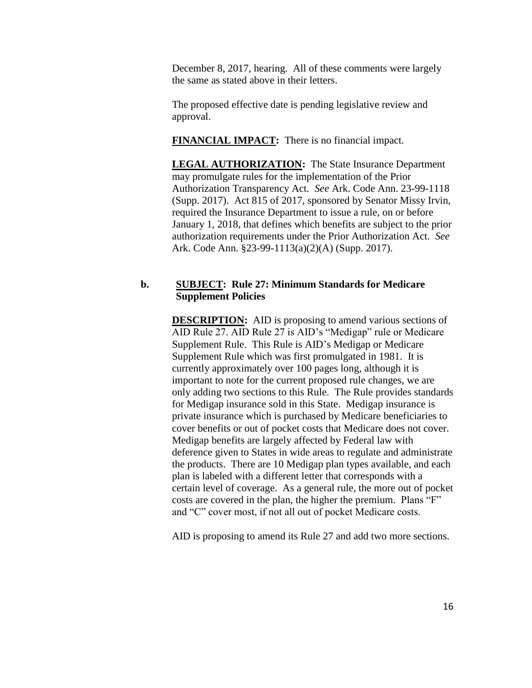December 8, 2017, hearing. All of these comments were largely the same as stated above in their letters.

The proposed effective date is pending legislative review and approval.

**FINANCIAL IMPACT:** There is no financial impact.

**LEGAL AUTHORIZATION:** The State Insurance Department may promulgate rules for the implementation of the Prior Authorization Transparency Act. *See* Ark. Code Ann. 23-99-1118 (Supp. 2017). Act 815 of 2017, sponsored by Senator Missy Irvin, required the Insurance Department to issue a rule, on or before January 1, 2018, that defines which benefits are subject to the prior authorization requirements under the Prior Authorization Act. *See* Ark. Code Ann. §23-99-1113(a)(2)(A) (Supp. 2017).

#### **b. SUBJECT: Rule 27: Minimum Standards for Medicare Supplement Policies**

**DESCRIPTION:** AID is proposing to amend various sections of AID Rule 27. AID Rule 27 is AID's "Medigap" rule or Medicare Supplement Rule. This Rule is AID's Medigap or Medicare Supplement Rule which was first promulgated in 1981. It is currently approximately over 100 pages long, although it is important to note for the current proposed rule changes, we are only adding two sections to this Rule. The Rule provides standards for Medigap insurance sold in this State. Medigap insurance is private insurance which is purchased by Medicare beneficiaries to cover benefits or out of pocket costs that Medicare does not cover. Medigap benefits are largely affected by Federal law with deference given to States in wide areas to regulate and administrate the products. There are 10 Medigap plan types available, and each plan is labeled with a different letter that corresponds with a certain level of coverage. As a general rule, the more out of pocket costs are covered in the plan, the higher the premium. Plans "F" and "C" cover most, if not all out of pocket Medicare costs.

AID is proposing to amend its Rule 27 and add two more sections.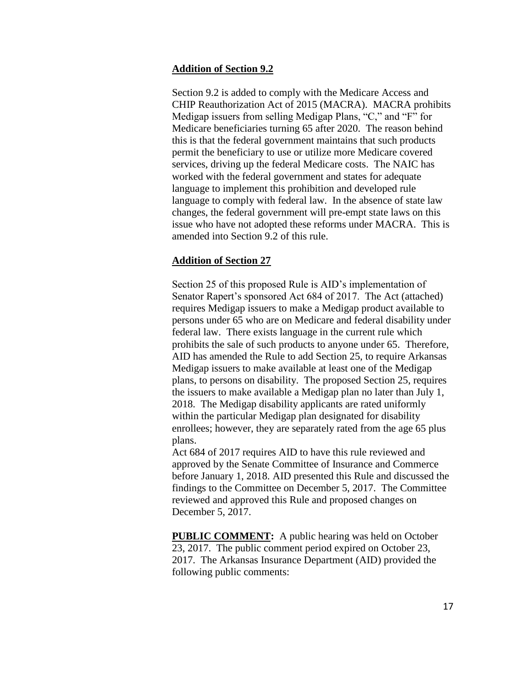#### **Addition of Section 9.2**

Section 9.2 is added to comply with the Medicare Access and CHIP Reauthorization Act of 2015 (MACRA). MACRA prohibits Medigap issuers from selling Medigap Plans, "C," and "F" for Medicare beneficiaries turning 65 after 2020. The reason behind this is that the federal government maintains that such products permit the beneficiary to use or utilize more Medicare covered services, driving up the federal Medicare costs. The NAIC has worked with the federal government and states for adequate language to implement this prohibition and developed rule language to comply with federal law. In the absence of state law changes, the federal government will pre-empt state laws on this issue who have not adopted these reforms under MACRA. This is amended into Section 9.2 of this rule.

#### **Addition of Section 27**

Section 25 of this proposed Rule is AID's implementation of Senator Rapert's sponsored Act 684 of 2017. The Act (attached) requires Medigap issuers to make a Medigap product available to persons under 65 who are on Medicare and federal disability under federal law. There exists language in the current rule which prohibits the sale of such products to anyone under 65. Therefore, AID has amended the Rule to add Section 25, to require Arkansas Medigap issuers to make available at least one of the Medigap plans, to persons on disability. The proposed Section 25, requires the issuers to make available a Medigap plan no later than July 1, 2018. The Medigap disability applicants are rated uniformly within the particular Medigap plan designated for disability enrollees; however, they are separately rated from the age 65 plus plans.

Act 684 of 2017 requires AID to have this rule reviewed and approved by the Senate Committee of Insurance and Commerce before January 1, 2018. AID presented this Rule and discussed the findings to the Committee on December 5, 2017. The Committee reviewed and approved this Rule and proposed changes on December 5, 2017.

**PUBLIC COMMENT:** A public hearing was held on October 23, 2017. The public comment period expired on October 23, 2017. The Arkansas Insurance Department (AID) provided the following public comments: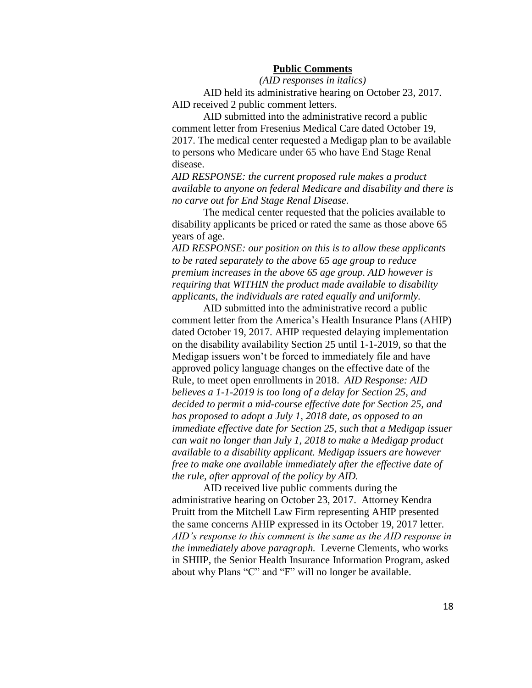#### **Public Comments**

*(AID responses in italics)*

AID held its administrative hearing on October 23, 2017. AID received 2 public comment letters.

AID submitted into the administrative record a public comment letter from Fresenius Medical Care dated October 19, 2017. The medical center requested a Medigap plan to be available to persons who Medicare under 65 who have End Stage Renal disease.

*AID RESPONSE: the current proposed rule makes a product available to anyone on federal Medicare and disability and there is no carve out for End Stage Renal Disease.* 

The medical center requested that the policies available to disability applicants be priced or rated the same as those above 65 years of age.

*AID RESPONSE: our position on this is to allow these applicants to be rated separately to the above 65 age group to reduce premium increases in the above 65 age group. AID however is requiring that WITHIN the product made available to disability applicants, the individuals are rated equally and uniformly.* 

AID submitted into the administrative record a public comment letter from the America's Health Insurance Plans (AHIP) dated October 19, 2017. AHIP requested delaying implementation on the disability availability Section 25 until 1-1-2019, so that the Medigap issuers won't be forced to immediately file and have approved policy language changes on the effective date of the Rule, to meet open enrollments in 2018. *AID Response: AID believes a 1-1-2019 is too long of a delay for Section 25, and decided to permit a mid-course effective date for Section 25, and has proposed to adopt a July 1, 2018 date, as opposed to an immediate effective date for Section 25, such that a Medigap issuer can wait no longer than July 1, 2018 to make a Medigap product available to a disability applicant. Medigap issuers are however free to make one available immediately after the effective date of the rule, after approval of the policy by AID.* 

AID received live public comments during the administrative hearing on October 23, 2017. Attorney Kendra Pruitt from the Mitchell Law Firm representing AHIP presented the same concerns AHIP expressed in its October 19, 2017 letter. *AID's response to this comment is the same as the AID response in the immediately above paragraph.* Leverne Clements, who works in SHIIP, the Senior Health Insurance Information Program, asked about why Plans "C" and "F" will no longer be available.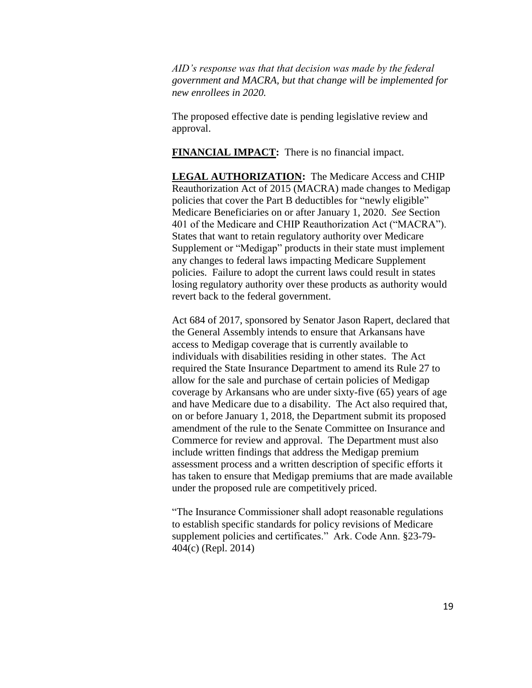*AID's response was that that decision was made by the federal government and MACRA, but that change will be implemented for new enrollees in 2020.* 

The proposed effective date is pending legislative review and approval.

**FINANCIAL IMPACT:** There is no financial impact.

**LEGAL AUTHORIZATION:** The Medicare Access and CHIP Reauthorization Act of 2015 (MACRA) made changes to Medigap policies that cover the Part B deductibles for "newly eligible" Medicare Beneficiaries on or after January 1, 2020. *See* Section 401 of the Medicare and CHIP Reauthorization Act ("MACRA"). States that want to retain regulatory authority over Medicare Supplement or "Medigap" products in their state must implement any changes to federal laws impacting Medicare Supplement policies. Failure to adopt the current laws could result in states losing regulatory authority over these products as authority would revert back to the federal government.

Act 684 of 2017, sponsored by Senator Jason Rapert, declared that the General Assembly intends to ensure that Arkansans have access to Medigap coverage that is currently available to individuals with disabilities residing in other states. The Act required the State Insurance Department to amend its Rule 27 to allow for the sale and purchase of certain policies of Medigap coverage by Arkansans who are under sixty-five (65) years of age and have Medicare due to a disability. The Act also required that, on or before January 1, 2018, the Department submit its proposed amendment of the rule to the Senate Committee on Insurance and Commerce for review and approval. The Department must also include written findings that address the Medigap premium assessment process and a written description of specific efforts it has taken to ensure that Medigap premiums that are made available under the proposed rule are competitively priced.

"The Insurance Commissioner shall adopt reasonable regulations to establish specific standards for policy revisions of Medicare supplement policies and certificates." Ark. Code Ann. §23-79- 404(c) (Repl. 2014)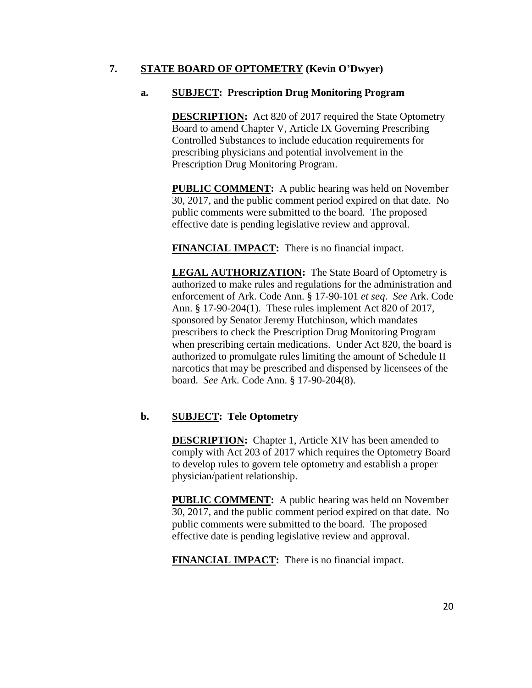# **7. STATE BOARD OF OPTOMETRY (Kevin O'Dwyer)**

# **a. SUBJECT: Prescription Drug Monitoring Program**

**DESCRIPTION:** Act 820 of 2017 required the State Optometry Board to amend Chapter V, Article IX Governing Prescribing Controlled Substances to include education requirements for prescribing physicians and potential involvement in the Prescription Drug Monitoring Program.

**PUBLIC COMMENT:** A public hearing was held on November 30, 2017, and the public comment period expired on that date. No public comments were submitted to the board. The proposed effective date is pending legislative review and approval.

**FINANCIAL IMPACT:** There is no financial impact.

**LEGAL AUTHORIZATION:** The State Board of Optometry is authorized to make rules and regulations for the administration and enforcement of Ark. Code Ann. § 17-90-101 *et seq*. *See* Ark. Code Ann. § 17-90-204(1). These rules implement Act 820 of 2017, sponsored by Senator Jeremy Hutchinson, which mandates prescribers to check the Prescription Drug Monitoring Program when prescribing certain medications. Under Act 820, the board is authorized to promulgate rules limiting the amount of Schedule II narcotics that may be prescribed and dispensed by licensees of the board. *See* Ark. Code Ann. § 17-90-204(8).

# **b. SUBJECT: Tele Optometry**

**DESCRIPTION:** Chapter 1, Article XIV has been amended to comply with Act 203 of 2017 which requires the Optometry Board to develop rules to govern tele optometry and establish a proper physician/patient relationship.

**PUBLIC COMMENT:** A public hearing was held on November 30, 2017, and the public comment period expired on that date. No public comments were submitted to the board. The proposed effective date is pending legislative review and approval.

**FINANCIAL IMPACT:** There is no financial impact.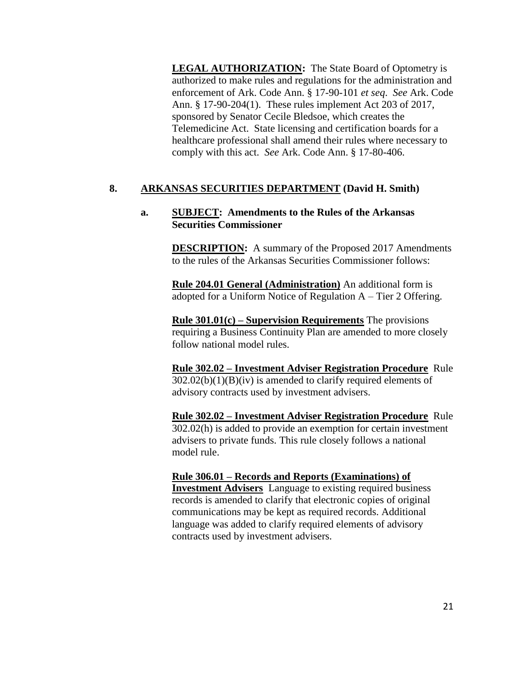**LEGAL AUTHORIZATION:** The State Board of Optometry is authorized to make rules and regulations for the administration and enforcement of Ark. Code Ann. § 17-90-101 *et seq*. *See* Ark. Code Ann. § 17-90-204(1). These rules implement Act 203 of 2017, sponsored by Senator Cecile Bledsoe, which creates the Telemedicine Act. State licensing and certification boards for a healthcare professional shall amend their rules where necessary to comply with this act. *See* Ark. Code Ann. § 17-80-406.

# **8. ARKANSAS SECURITIES DEPARTMENT (David H. Smith)**

#### **a. SUBJECT: Amendments to the Rules of the Arkansas Securities Commissioner**

**DESCRIPTION:** A summary of the Proposed 2017 Amendments to the rules of the Arkansas Securities Commissioner follows:

**Rule 204.01 General (Administration)** An additional form is adopted for a Uniform Notice of Regulation A – Tier 2 Offering.

**Rule 301.01(c) – Supervision Requirements** The provisions requiring a Business Continuity Plan are amended to more closely follow national model rules.

**Rule 302.02 – Investment Adviser Registration Procedure** Rule  $302.02(b)(1)(B)(iv)$  is amended to clarify required elements of advisory contracts used by investment advisers.

**Rule 302.02 – Investment Adviser Registration Procedure** Rule 302.02(h) is added to provide an exemption for certain investment advisers to private funds. This rule closely follows a national model rule.

### **Rule 306.01 – Records and Reports (Examinations) of**

**Investment Advisers** Language to existing required business records is amended to clarify that electronic copies of original communications may be kept as required records. Additional language was added to clarify required elements of advisory contracts used by investment advisers.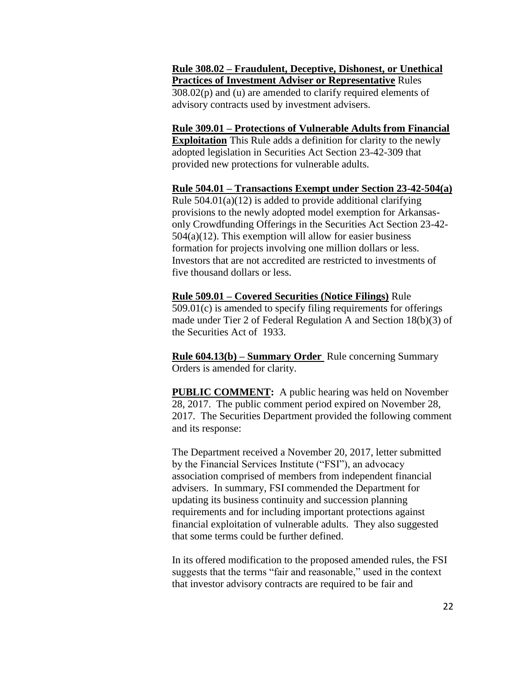**Rule 308.02 – Fraudulent, Deceptive, Dishonest, or Unethical Practices of Investment Adviser or Representative** Rules  $308.02(p)$  and (u) are amended to clarify required elements of advisory contracts used by investment advisers.

**Rule 309.01 – Protections of Vulnerable Adults from Financial Exploitation** This Rule adds a definition for clarity to the newly adopted legislation in Securities Act Section 23-42-309 that provided new protections for vulnerable adults.

**Rule 504.01 – Transactions Exempt under Section 23-42-504(a)**  Rule  $504.01(a)(12)$  is added to provide additional clarifying provisions to the newly adopted model exemption for Arkansasonly Crowdfunding Offerings in the Securities Act Section 23-42-  $504(a)(12)$ . This exemption will allow for easier business formation for projects involving one million dollars or less. Investors that are not accredited are restricted to investments of five thousand dollars or less.

**Rule 509.01 – Covered Securities (Notice Filings)** Rule 509.01(c) is amended to specify filing requirements for offerings made under Tier 2 of Federal Regulation A and Section 18(b)(3) of the Securities Act of 1933.

**Rule 604.13(b) – Summary Order** Rule concerning Summary Orders is amended for clarity.

**PUBLIC COMMENT:** A public hearing was held on November 28, 2017. The public comment period expired on November 28, 2017. The Securities Department provided the following comment and its response:

The Department received a November 20, 2017, letter submitted by the Financial Services Institute ("FSI"), an advocacy association comprised of members from independent financial advisers. In summary, FSI commended the Department for updating its business continuity and succession planning requirements and for including important protections against financial exploitation of vulnerable adults. They also suggested that some terms could be further defined.

In its offered modification to the proposed amended rules, the FSI suggests that the terms "fair and reasonable," used in the context that investor advisory contracts are required to be fair and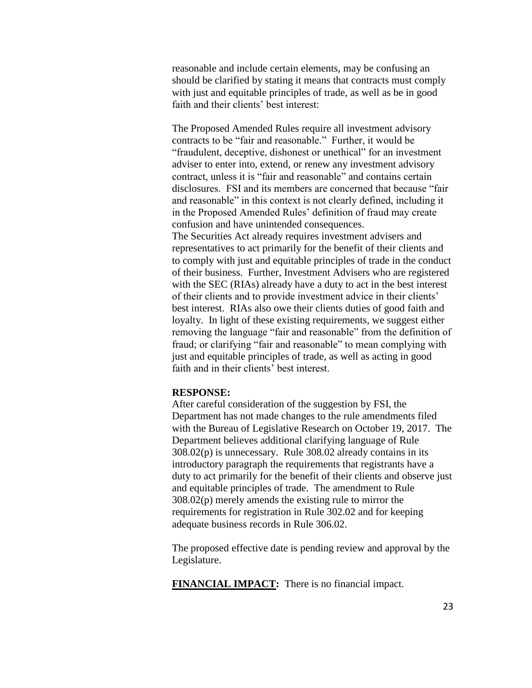reasonable and include certain elements, may be confusing an should be clarified by stating it means that contracts must comply with just and equitable principles of trade, as well as be in good faith and their clients' best interest:

The Proposed Amended Rules require all investment advisory contracts to be "fair and reasonable." Further, it would be "fraudulent, deceptive, dishonest or unethical" for an investment adviser to enter into, extend, or renew any investment advisory contract, unless it is "fair and reasonable" and contains certain disclosures. FSI and its members are concerned that because "fair and reasonable" in this context is not clearly defined, including it in the Proposed Amended Rules' definition of fraud may create confusion and have unintended consequences. The Securities Act already requires investment advisers and representatives to act primarily for the benefit of their clients and to comply with just and equitable principles of trade in the conduct of their business. Further, Investment Advisers who are registered with the SEC (RIAs) already have a duty to act in the best interest of their clients and to provide investment advice in their clients' best interest. RIAs also owe their clients duties of good faith and loyalty. In light of these existing requirements, we suggest either removing the language "fair and reasonable" from the definition of fraud; or clarifying "fair and reasonable" to mean complying with just and equitable principles of trade, as well as acting in good faith and in their clients' best interest.

#### **RESPONSE:**

After careful consideration of the suggestion by FSI, the Department has not made changes to the rule amendments filed with the Bureau of Legislative Research on October 19, 2017. The Department believes additional clarifying language of Rule 308.02(p) is unnecessary. Rule 308.02 already contains in its introductory paragraph the requirements that registrants have a duty to act primarily for the benefit of their clients and observe just and equitable principles of trade. The amendment to Rule 308.02(p) merely amends the existing rule to mirror the requirements for registration in Rule 302.02 and for keeping adequate business records in Rule 306.02.

The proposed effective date is pending review and approval by the Legislature.

**FINANCIAL IMPACT:** There is no financial impact.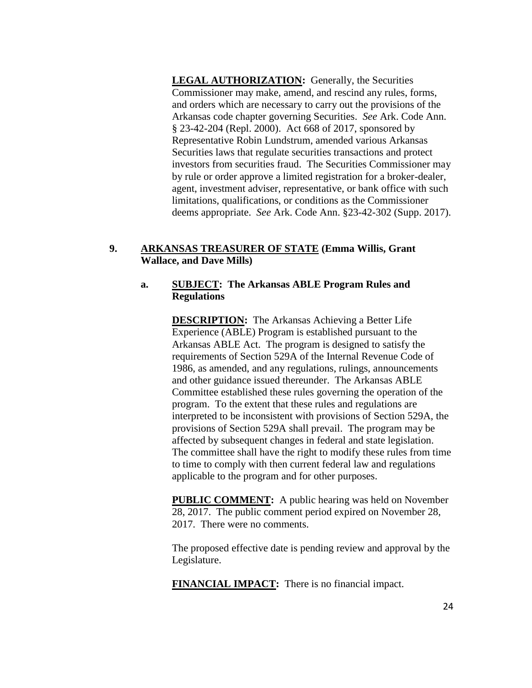**LEGAL AUTHORIZATION:** Generally, the Securities Commissioner may make, amend, and rescind any rules, forms, and orders which are necessary to carry out the provisions of the Arkansas code chapter governing Securities. *See* Ark. Code Ann. § 23-42-204 (Repl. 2000). Act 668 of 2017, sponsored by Representative Robin Lundstrum, amended various Arkansas Securities laws that regulate securities transactions and protect investors from securities fraud. The Securities Commissioner may by rule or order approve a limited registration for a broker-dealer, agent, investment adviser, representative, or bank office with such limitations, qualifications, or conditions as the Commissioner deems appropriate. *See* Ark. Code Ann. §23-42-302 (Supp. 2017).

# **9. ARKANSAS TREASURER OF STATE (Emma Willis, Grant Wallace, and Dave Mills)**

#### **a. SUBJECT: The Arkansas ABLE Program Rules and Regulations**

**DESCRIPTION:** The Arkansas Achieving a Better Life Experience (ABLE) Program is established pursuant to the Arkansas ABLE Act. The program is designed to satisfy the requirements of Section 529A of the Internal Revenue Code of 1986, as amended, and any regulations, rulings, announcements and other guidance issued thereunder. The Arkansas ABLE Committee established these rules governing the operation of the program. To the extent that these rules and regulations are interpreted to be inconsistent with provisions of Section 529A, the provisions of Section 529A shall prevail. The program may be affected by subsequent changes in federal and state legislation. The committee shall have the right to modify these rules from time to time to comply with then current federal law and regulations applicable to the program and for other purposes.

**PUBLIC COMMENT:** A public hearing was held on November 28, 2017. The public comment period expired on November 28, 2017. There were no comments.

The proposed effective date is pending review and approval by the Legislature.

**FINANCIAL IMPACT:** There is no financial impact.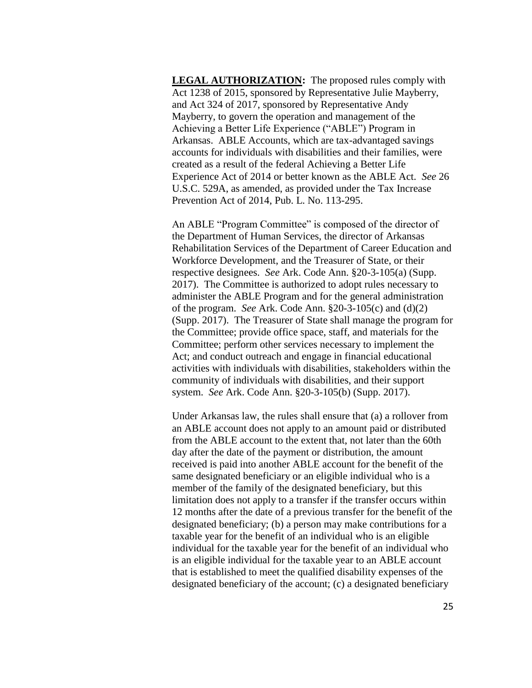**LEGAL AUTHORIZATION:** The proposed rules comply with Act 1238 of 2015, sponsored by Representative Julie Mayberry, and Act 324 of 2017, sponsored by Representative Andy Mayberry, to govern the operation and management of the Achieving a Better Life Experience ("ABLE") Program in Arkansas. ABLE Accounts, which are tax-advantaged savings accounts for individuals with disabilities and their families, were created as a result of the federal Achieving a Better Life Experience Act of 2014 or better known as the ABLE Act. *See* 26 U.S.C. 529A, as amended, as provided under the Tax Increase Prevention Act of 2014, Pub. L. No. 113-295.

An ABLE "Program Committee" is composed of the director of the Department of Human Services, the director of Arkansas Rehabilitation Services of the Department of Career Education and Workforce Development, and the Treasurer of State, or their respective designees. *See* Ark. Code Ann. §20-3-105(a) (Supp. 2017). The Committee is authorized to adopt rules necessary to administer the ABLE Program and for the general administration of the program. *See* Ark. Code Ann. §20-3-105(c) and (d)(2) (Supp. 2017). The Treasurer of State shall manage the program for the Committee; provide office space, staff, and materials for the Committee; perform other services necessary to implement the Act; and conduct outreach and engage in financial educational activities with individuals with disabilities, stakeholders within the community of individuals with disabilities, and their support system. *See* Ark. Code Ann. §20-3-105(b) (Supp. 2017).

Under Arkansas law, the rules shall ensure that (a) a rollover from an ABLE account does not apply to an amount paid or distributed from the ABLE account to the extent that, not later than the 60th day after the date of the payment or distribution, the amount received is paid into another ABLE account for the benefit of the same designated beneficiary or an eligible individual who is a member of the family of the designated beneficiary, but this limitation does not apply to a transfer if the transfer occurs within 12 months after the date of a previous transfer for the benefit of the designated beneficiary; (b) a person may make contributions for a taxable year for the benefit of an individual who is an eligible individual for the taxable year for the benefit of an individual who is an eligible individual for the taxable year to an ABLE account that is established to meet the qualified disability expenses of the designated beneficiary of the account; (c) a designated beneficiary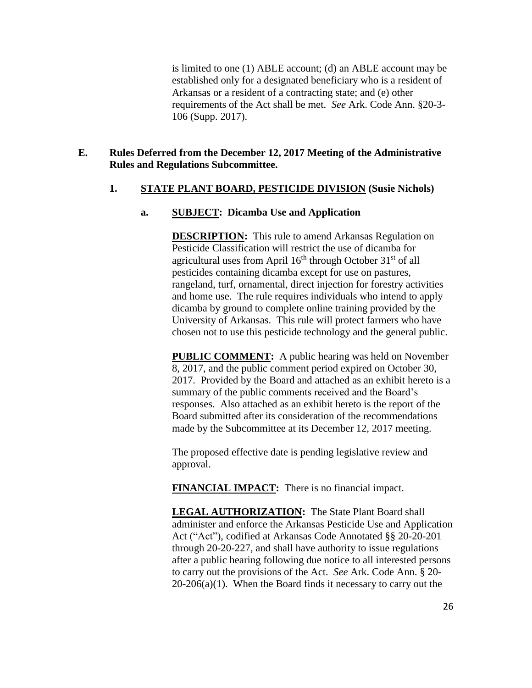is limited to one (1) ABLE account; (d) an ABLE account may be established only for a designated beneficiary who is a resident of Arkansas or a resident of a contracting state; and (e) other requirements of the Act shall be met. *See* Ark. Code Ann. §20-3- 106 (Supp. 2017).

## **E. Rules Deferred from the December 12, 2017 Meeting of the Administrative Rules and Regulations Subcommittee.**

### **1. STATE PLANT BOARD, PESTICIDE DIVISION (Susie Nichols)**

### **a. SUBJECT: Dicamba Use and Application**

**DESCRIPTION:** This rule to amend Arkansas Regulation on Pesticide Classification will restrict the use of dicamba for agricultural uses from April  $16<sup>th</sup>$  through October  $31<sup>st</sup>$  of all pesticides containing dicamba except for use on pastures, rangeland, turf, ornamental, direct injection for forestry activities and home use. The rule requires individuals who intend to apply dicamba by ground to complete online training provided by the University of Arkansas. This rule will protect farmers who have chosen not to use this pesticide technology and the general public.

**PUBLIC COMMENT:** A public hearing was held on November 8, 2017, and the public comment period expired on October 30, 2017. Provided by the Board and attached as an exhibit hereto is a summary of the public comments received and the Board's responses. Also attached as an exhibit hereto is the report of the Board submitted after its consideration of the recommendations made by the Subcommittee at its December 12, 2017 meeting.

The proposed effective date is pending legislative review and approval.

**FINANCIAL IMPACT:** There is no financial impact.

**LEGAL AUTHORIZATION:** The State Plant Board shall administer and enforce the Arkansas Pesticide Use and Application Act ("Act"), codified at Arkansas Code Annotated §§ 20-20-201 through 20-20-227, and shall have authority to issue regulations after a public hearing following due notice to all interested persons to carry out the provisions of the Act. *See* Ark. Code Ann. § 20-  $20-206(a)(1)$ . When the Board finds it necessary to carry out the